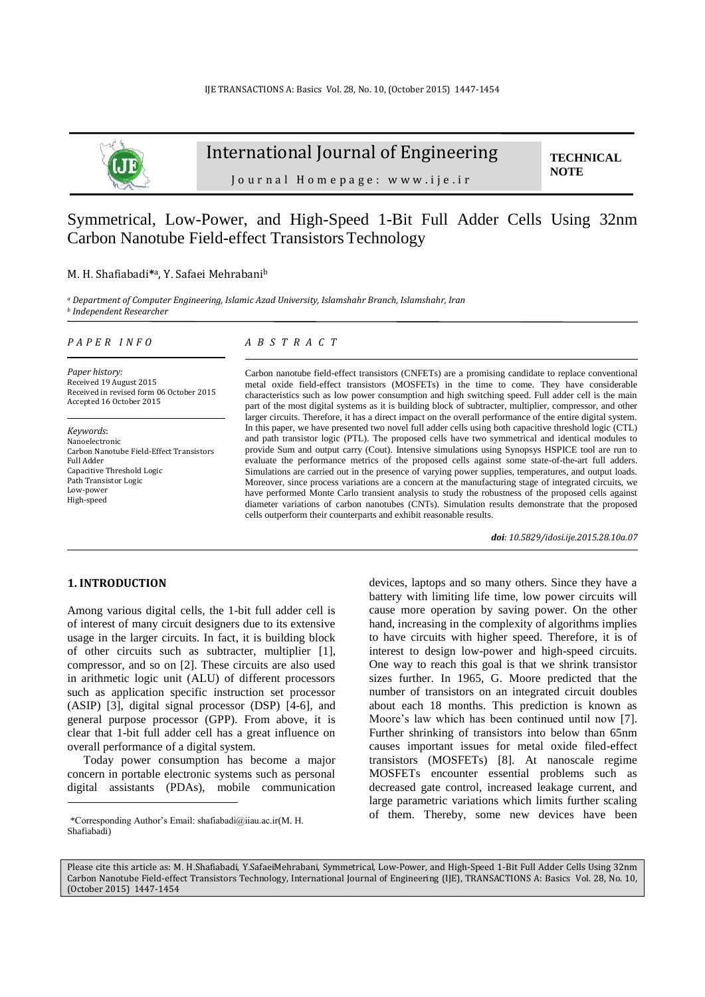

# International Journal of Engineering

**TECHNICAL NOTE**

J o u r n a l H o m e p a g e : w w w . i j e . i r

## Symmetrical, Low-Power, and High-Speed 1-Bit Full Adder Cells Using 32nm Carbon Nanotube Field-effect Transistors Technology

#### M. H. Shafiabadi**\*** <sup>a</sup>, Y. Safaei Mehrabani<sup>b</sup>

*<sup>a</sup> Department of Computer Engineering, Islamic Azad University, Islamshahr Branch, Islamshahr, Iran b Independent Researcher*

#### *P A P E R I N F O*

*Paper history:* Received 19 August 2015 Received in revised form 06 October 2015 Accepted 16 October 2015

*Keywords*: Nanoelectronic Carbon Nanotube Field-Effect Transistors Full Adder Capacitive Threshold Logic Path Transistor Logic Low-power High-speed

### *A B S T R A C T*

Carbon nanotube field-effect transistors (CNFETs) are a promising candidate to replace conventional metal oxide field-effect transistors (MOSFETs) in the time to come. They have considerable characteristics such as low power consumption and high switching speed. Full adder cell is the main part of the most digital systems as it is building block of subtracter, multiplier, compressor, and other larger circuits. Therefore, it has a direct impact on the overall performance of the entire digital system. In this paper, we have presented two novel full adder cells using both capacitive threshold logic (CTL) and path transistor logic (PTL). The proposed cells have two symmetrical and identical modules to provide Sum and output carry (Cout). Intensive simulations using Synopsys HSPICE tool are run to evaluate the performance metrics of the proposed cells against some state-of-the-art full adders. Simulations are carried out in the presence of varying power supplies, temperatures, and output loads. Moreover, since process variations are a concern at the manufacturing stage of integrated circuits, we have performed Monte Carlo transient analysis to study the robustness of the proposed cells against diameter variations of carbon nanotubes (CNTs). Simulation results demonstrate that the proposed cells outperform their counterparts and exhibit reasonable results.

*doi: 10.5829/idosi.ije.2015.28.10a.07*

#### **1. INTRODUCTION<sup>1</sup>**

1

Among various digital cells, the 1-bit full adder cell is of interest of many circuit designers due to its extensive usage in the larger circuits. In fact, it is building block of other circuits such as subtracter, multiplier [\[1\]](#page-6-0), compressor, and so on [\[2\]](#page-6-1). These circuits are also used in arithmetic logic unit (ALU) of different processors such as application specific instruction set processor (ASIP) [\[3\]](#page-6-2), digital signal processor (DSP) [\[4-6\]](#page-6-3), and general purpose processor (GPP). From above, it is clear that 1-bit full adder cell has a great influence on overall performance of a digital system.

Today power consumption has become a major concern in portable electronic systems such as personal digital assistants (PDAs), mobile communication

devices, laptops and so many others. Since they have a battery with limiting life time, low power circuits will cause more operation by saving power. On the other hand, increasing in the complexity of algorithms implies to have circuits with higher speed. Therefore, it is of interest to design low-power and high-speed circuits. One way to reach this goal is that we shrink transistor sizes further. In 1965, G. Moore predicted that the number of transistors on an integrated circuit doubles about each 18 months. This prediction is known as Moore's law which has been continued until now [\[7\]](#page-6-4). Further shrinking of transistors into below than 65nm causes important issues for metal oxide filed-effect transistors (MOSFETs) [\[8\]](#page-6-5). At nanoscale regime MOSFETs encounter essential problems such as decreased gate control, increased leakage current, and large parametric variations which limits further scaling of them. Thereby, some new devices have been

Please cite this article as: M. H.Shafiabadi, Y.SafaeiMehrabani, Symmetrical, Low-Power, and High-Speed 1-Bit Full Adder Cells Using 32nm Carbon Nanotube Field-effect Transistors Technology, International Journal of Engineering (IJE), TRANSACTIONS A: Basics Vol. 28, No. 10, (October 2015) 1447-1454

<sup>1</sup> \*Corresponding Author's Email: shafiabadi@iiau.ac.ir(M. H. Shafiabadi)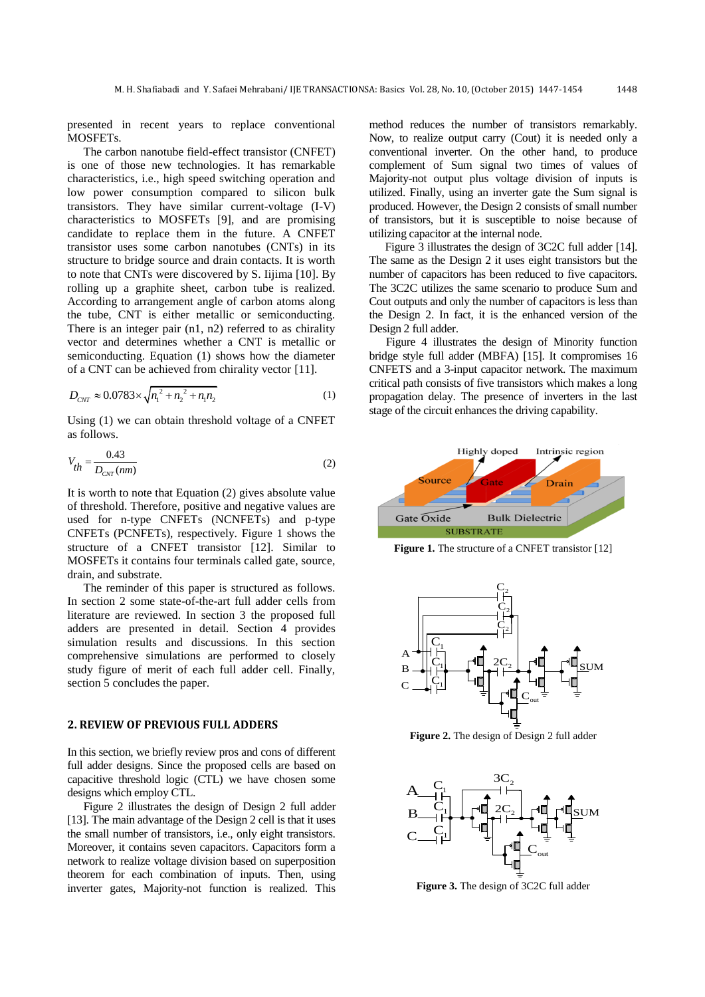presented in recent years to replace conventional MOSFETs.

The carbon nanotube field-effect transistor (CNFET) is one of those new technologies. It has remarkable characteristics, i.e., high speed switching operation and low power consumption compared to silicon bulk transistors. They have similar current-voltage (I-V) characteristics to MOSFETs [\[9\]](#page-6-6), and are promising candidate to replace them in the future. A CNFET transistor uses some carbon nanotubes (CNTs) in its structure to bridge source and drain contacts. It is worth to note that CNTs were discovered by S. Iijima [\[10\]](#page-6-7). By rolling up a graphite sheet, carbon tube is realized. According to arrangement angle of carbon atoms along the tube, CNT is either metallic or semiconducting. There is an integer pair  $(n1, n2)$  referred to as chirality vector and determines whether a CNT is metallic or semiconducting. Equation (1) shows how the diameter of a CNT can be achieved from chirality vector [\[11\]](#page-6-8).

$$
D_{\text{CNT}} \approx 0.0783 \times \sqrt{n_1^2 + n_2^2 + n_1 n_2} \tag{1}
$$

Using (1) we can obtain threshold voltage of a CNFET as follows.

$$
V_{th} = \frac{0.43}{D_{\text{CNT}}(nm)}\tag{2}
$$

It is worth to note that Equation (2) gives absolute value of threshold. Therefore, positive and negative values are used for n-type CNFETs (NCNFETs) and p-type CNFETs (PCNFETs), respectively. Figure 1 shows the structure of a CNFET transistor [\[12\]](#page-6-9). Similar to MOSFETs it contains four terminals called gate, source, drain, and substrate.

The reminder of this paper is structured as follows. In section 2 some state-of-the-art full adder cells from literature are reviewed. In section 3 the proposed full adders are presented in detail. Section 4 provides simulation results and discussions. In this section comprehensive simulations are performed to closely study figure of merit of each full adder cell. Finally, section 5 concludes the paper.

#### **2. REVIEW OF PREVIOUS FULL ADDERS**

In this section, we briefly review pros and cons of different full adder designs. Since the proposed cells are based on capacitive threshold logic (CTL) we have chosen some designs which employ CTL.

Figure 2 illustrates the design of Design 2 full adder [\[13\]](#page-6-10). The main advantage of the Design 2 cell is that it uses the small number of transistors, i.e., only eight transistors. Moreover, it contains seven capacitors. Capacitors form a network to realize voltage division based on superposition theorem for each combination of inputs. Then, using inverter gates, Majority-not function is realized. This method reduces the number of transistors remarkably. Now, to realize output carry (Cout) it is needed only a conventional inverter. On the other hand, to produce complement of Sum signal two times of values of Majority-not output plus voltage division of inputs is utilized. Finally, using an inverter gate the Sum signal is produced. However, the Design 2 consists of small number of transistors, but it is susceptible to noise because of utilizing capacitor at the internal node.

Figure 3 illustrates the design of 3C2C full adder [\[14\]](#page-6-11). The same as the Design 2 it uses eight transistors but the number of capacitors has been reduced to five capacitors. The 3C2C utilizes the same scenario to produce Sum and Cout outputs and only the number of capacitors is less than the Design 2. In fact, it is the enhanced version of the Design 2 full adder.

Figure 4 illustrates the design of Minority function bridge style full adder (MBFA) [\[15\]](#page-6-12). It compromises 16 CNFETS and a 3-input capacitor network. The maximum critical path consists of five transistors which makes a long propagation delay. The presence of inverters in the last stage of the circuit enhances the driving capability.



**Figure 1.** The structure of a CNFET transistor [\[12\]](#page-6-9)



**Figure 2.** The design of Design 2 full adder



**Figure 3.** The design of 3C2C full adder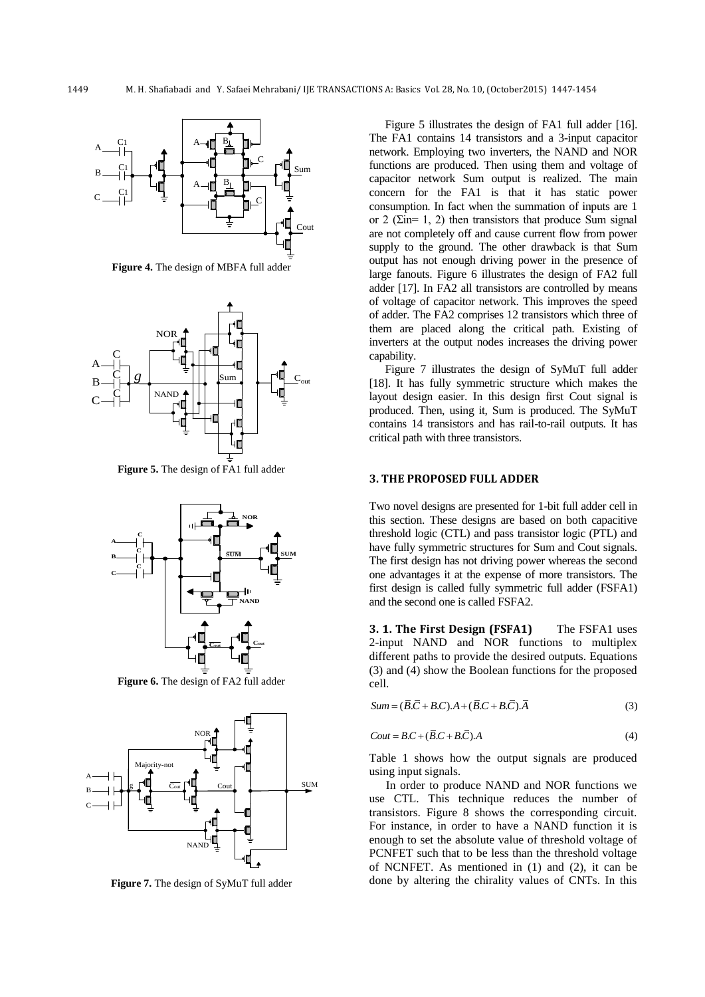

**Figure 4.** The design of MBFA full adder



**Figure 5.** The design of FA1 full adder



**Figure 6.** The design of FA2 full adder



**Figure 7.** The design of SyMuT full adder

Figure 5 illustrates the design of FA1 full adder [\[16\]](#page-6-13). The FA1 contains 14 transistors and a 3-input capacitor network. Employing two inverters, the NAND and NOR functions are produced. Then using them and voltage of capacitor network Sum output is realized. The main concern for the FA1 is that it has static power consumption. In fact when the summation of inputs are 1 or 2 ( $\Sigma$ in= 1, 2) then transistors that produce Sum signal are not completely off and cause current flow from power supply to the ground. The other drawback is that Sum output has not enough driving power in the presence of large fanouts. Figure 6 illustrates the design of FA2 full adder [\[17\]](#page-6-14). In FA2 all transistors are controlled by means of voltage of capacitor network. This improves the speed of adder. The FA2 comprises 12 transistors which three of them are placed along the critical path. Existing of inverters at the output nodes increases the driving power capability.

 $\overrightarrow{B}$   $\rightarrow$   $\overrightarrow{B}$   $\rightarrow$   $\overrightarrow{B}$   $\rightarrow$   $\overrightarrow{B}$   $\rightarrow$   $\overrightarrow{B}$   $\rightarrow$   $\overrightarrow{B}$   $\rightarrow$   $\overrightarrow{B}$   $\rightarrow$   $\overrightarrow{B}$   $\rightarrow$   $\overrightarrow{B}$   $\rightarrow$   $\overrightarrow{B}$   $\rightarrow$   $\overrightarrow{B}$   $\rightarrow$   $\overrightarrow{B}$   $\rightarrow$   $\overrightarrow{B}$   $\rightarrow$   $\overrightarrow{B}$   $\rightarrow$   $\overrightarrow{B}$   $\rightarrow$   $\overrightarrow{B}$   $\$ layout design easier. In this design first Cout signal is produced. Then, using it, Sum is produced. The SyMuT contains 14 transistors and has rail-to-rail outputs. It has critical path with three transistors.

#### **3. THE PROPOSED FULL ADDER**

Two novel designs are presented for 1-bit full adder cell in this section. These designs are based on both capacitive threshold logic (CTL) and pass transistor logic (PTL) and have fully symmetric structures for Sum and Cout signals. The first design has not driving power whereas the second one advantages it at the expense of more transistors. The first design is called fully symmetric full adder (FSFA1) and the second one is called FSFA2.

**3. 1. The First Design (FSFA1)** The FSFA1 uses 2-input NAND and NOR functions to multiplex different paths to provide the desired outputs. Equations (3) and (4) show the Boolean functions for the proposed cell.

$$
Sum = (\overline{B}.\overline{C} + B.C).A + (\overline{B}.C + B.\overline{C}).\overline{A}
$$
\n(3)

$$
Cout = BC + (\overline{B} \cdot C + B \cdot \overline{C}).A
$$
\n<sup>(4)</sup>

Table 1 shows how the output signals are produced using input signals.

In order to produce NAND and NOR functions we use CTL. This technique reduces the number of transistors. Figure 8 shows the corresponding circuit. For instance, in order to have a NAND function it is enough to set the absolute value of threshold voltage of PCNFET such that to be less than the threshold voltage of NCNFET. As mentioned in (1) and (2), it can be done by altering the chirality values of CNTs. In this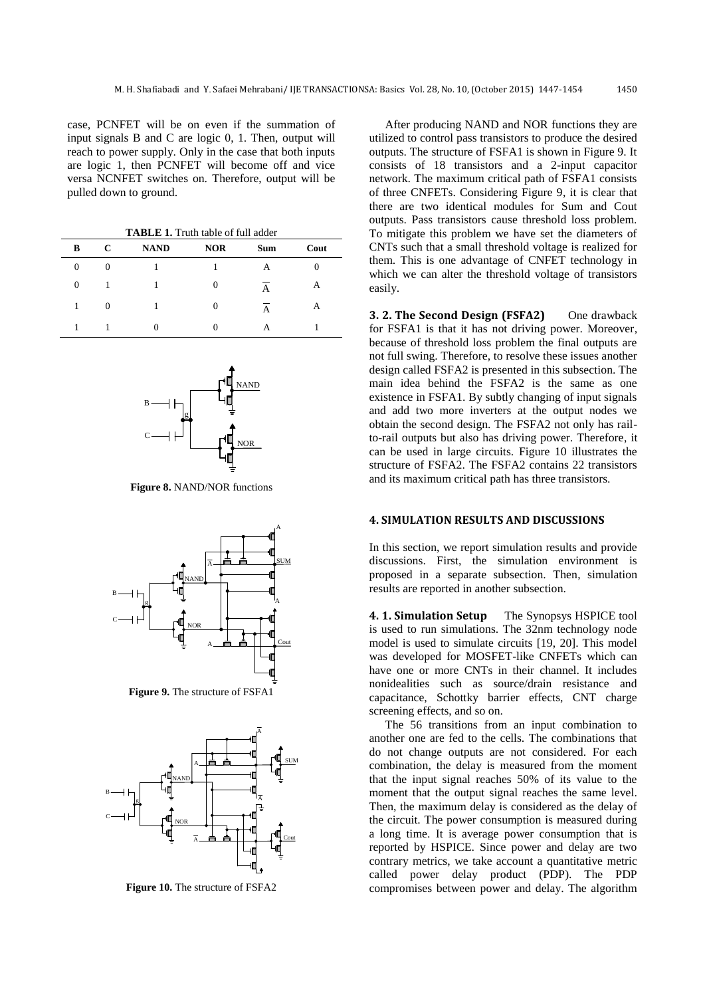case, PCNFET will be on even if the summation of input signals B and C are logic 0, 1. Then, output will reach to power supply. Only in the case that both inputs are logic 1, then PCNFET will become off and vice versa NCNFET switches on. Therefore, output will be pulled down to ground.

**TABLE 1.** Truth table of full adder

| В                | C              | <b>NAND</b> | <b>NOR</b>     | <b>Sum</b> | Cout |
|------------------|----------------|-------------|----------------|------------|------|
| $\boldsymbol{0}$ | 0              |             |                | А          | 0    |
| $\overline{0}$   |                |             | 0              | A          | А    |
|                  | $\overline{0}$ |             | $\overline{0}$ | Α          | А    |
|                  |                |             |                | А          |      |



**Figure 8.** NAND/NOR functions



**Figure 9.** The structure of FSFA1



**Figure 10.** The structure of FSFA2

After producing NAND and NOR functions they are utilized to control pass transistors to produce the desired outputs. The structure of FSFA1 is shown in Figure 9. It consists of 18 transistors and a 2-input capacitor network. The maximum critical path of FSFA1 consists of three CNFETs. Considering Figure 9, it is clear that there are two identical modules for Sum and Cout outputs. Pass transistors cause threshold loss problem. To mitigate this problem we have set the diameters of CNTs such that a small threshold voltage is realized for them. This is one advantage of CNFET technology in which we can alter the threshold voltage of transistors easily.

**3. 2. The Second Design (FSFA2)** One drawback for FSFA1 is that it has not driving power. Moreover, because of threshold loss problem the final outputs are not full swing. Therefore, to resolve these issues another design called FSFA2 is presented in this subsection. The main idea behind the FSFA2 is the same as one existence in FSFA1. By subtly changing of input signals  $\mathbb{E}$   $\mathbb{E}$  and add two more inverters at the output nodes we obtain the second design. The FSFA2 not only has railto-rail outputs but also has driving power. Therefore, it can be used in large circuits. Figure 10 illustrates the structure of FSFA2. The FSFA2 contains 22 transistors and its maximum critical path has three transistors.

#### **4. SIMULATION RESULTS AND DISCUSSIONS**

In this section, we report simulation results and provide discussions. First, the simulation environment is proposed in a separate subsection. Then, simulation results are reported in another subsection.  $\begin{array}{c|c|c|c|c|c} \hline \text{A} & \text{B} & \text{B} & \text{B} & \text{B} \\ \hline \end{array}$  ascussions. First, the proposed in a separate s<br>results are reported in another

> **4. 1. Simulation Setup** The Synopsys HSPICE tool is used to run simulations. The 32nm technology node model is used to simulate circuits [\[19,](#page-6-16) [20\]](#page-6-17). This model was developed for MOSFET-like CNFETs which can have one or more CNTs in their channel. It includes nonidealities such as source/drain resistance and capacitance, Schottky barrier effects, CNT charge screening effects, and so on.

The 56 transitions from an input combination to another one are fed to the cells. The combinations that do not change outputs are not considered. For each combination, the delay is measured from the moment that the input signal reaches 50% of its value to the  $\overline{A}$  moment that the output signal reaches the same level. Then, the maximum delay is considered as the delay of the circuit. The power consumption is measured during  $\overline{A}$   $\overline{A}$   $\overline{A}$   $\overline{A}$   $\overline{A}$   $\overline{A}$   $\overline{C}$   $\overline{C}$  a long time. It is average power consumption that is reported by HSPICE. Since power and delay are two contrary metrics, we take account a quantitative metric called power delay product (PDP). The PDP compromises between power and delay. The algorithm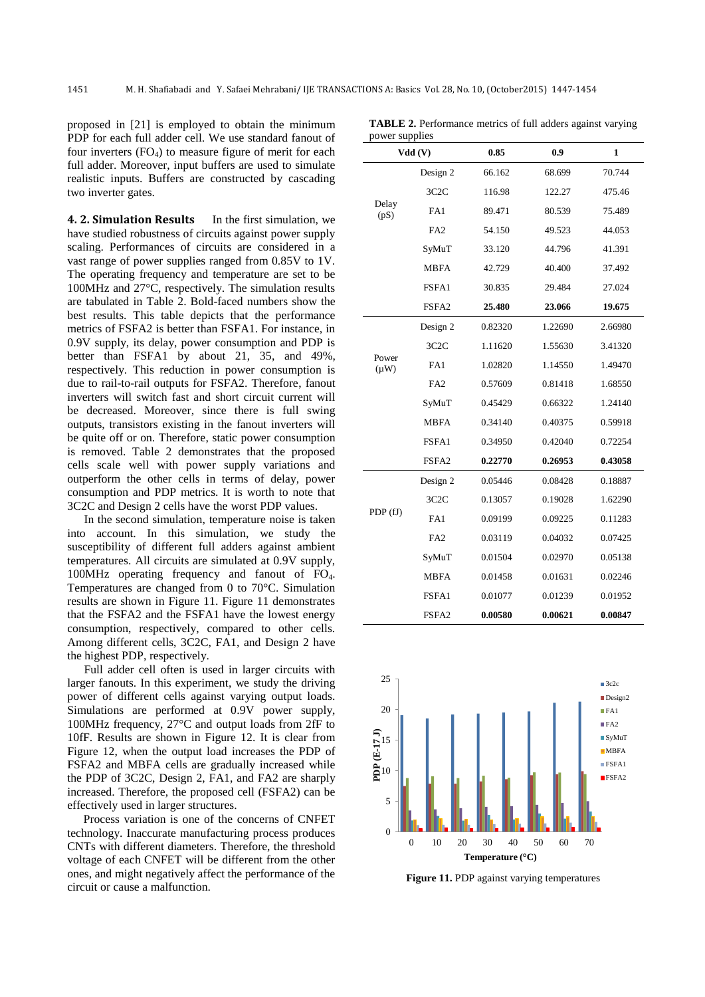power supplies

proposed in [\[21\]](#page-6-18) is employed to obtain the minimum PDP for each full adder cell. We use standard fanout of four inverters  $(FO_4)$  to measure figure of merit for each full adder. Moreover, input buffers are used to simulate realistic inputs. Buffers are constructed by cascading two inverter gates.

**4. 2. Simulation Results** In the first simulation, we have studied robustness of circuits against power supply scaling. Performances of circuits are considered in a vast range of power supplies ranged from 0.85V to 1V. The operating frequency and temperature are set to be 100MHz and 27°C, respectively. The simulation results are tabulated in Table 2. Bold-faced numbers show the best results. This table depicts that the performance metrics of FSFA2 is better than FSFA1. For instance, in 0.9V supply, its delay, power consumption and PDP is better than FSFA1 by about 21, 35, and 49%, respectively. This reduction in power consumption is due to rail-to-rail outputs for FSFA2. Therefore, fanout inverters will switch fast and short circuit current will be decreased. Moreover, since there is full swing outputs, transistors existing in the fanout inverters will be quite off or on. Therefore, static power consumption is removed. Table 2 demonstrates that the proposed cells scale well with power supply variations and outperform the other cells in terms of delay, power consumption and PDP metrics. It is worth to note that 3C2C and Design 2 cells have the worst PDP values.

In the second simulation, temperature noise is taken into account. In this simulation, we study the susceptibility of different full adders against ambient temperatures. All circuits are simulated at 0.9V supply, 100MHz operating frequency and fanout of FO4. Temperatures are changed from 0 to 70°C. Simulation results are shown in Figure 11. Figure 11 demonstrates that the FSFA2 and the FSFA1 have the lowest energy consumption, respectively, compared to other cells. Among different cells, 3C2C, FA1, and Design 2 have the highest PDP, respectively.

Full adder cell often is used in larger circuits with larger fanouts. In this experiment, we study the driving power of different cells against varying output loads. Simulations are performed at 0.9V power supply, 100MHz frequency, 27°C and output loads from 2fF to 10fF. Results are shown in Figure 12. It is clear from Figure 12, when the output load increases the PDP of FSFA2 and MBFA cells are gradually increased while the PDP of 3C2C, Design 2, FA1, and FA2 are sharply increased. Therefore, the proposed cell (FSFA2) can be effectively used in larger structures.

Process variation is one of the concerns of CNFET technology. Inaccurate manufacturing process produces CNTs with different diameters. Therefore, the threshold voltage of each CNFET will be different from the other ones, and might negatively affect the performance of the circuit or cause a malfunction.

| Jower supplies<br>Vdd(V) |                   | 0.85    | 0.9     | 1       |
|--------------------------|-------------------|---------|---------|---------|
|                          | Design 2          | 66.162  | 68.699  | 70.744  |
|                          | 3C2C              | 116.98  | 122.27  | 475.46  |
| Delay<br>(pS)            | FA1               | 89.471  | 80.539  | 75.489  |
|                          | FA <sub>2</sub>   | 54.150  | 49.523  | 44.053  |
|                          | SyMuT             | 33.120  | 44.796  | 41.391  |
|                          | <b>MBFA</b>       | 42.729  | 40.400  | 37.492  |
|                          | FSFA1             | 30.835  | 29.484  | 27.024  |
|                          | FSFA2             | 25.480  | 23.066  | 19.675  |
|                          | Design 2          | 0.82320 | 1.22690 | 2.66980 |
|                          | 3C <sub>2</sub> C | 1.11620 | 1.55630 | 3.41320 |
| Power<br>$(\mu W)$       | FA1               | 1.02820 | 1.14550 | 1.49470 |
|                          | FA <sub>2</sub>   | 0.57609 | 0.81418 | 1.68550 |
|                          | SyMuT             | 0.45429 | 0.66322 | 1.24140 |
|                          | <b>MBFA</b>       | 0.34140 | 0.40375 | 0.59918 |
|                          | FSFA1             | 0.34950 | 0.42040 | 0.72254 |
|                          | FSFA2             | 0.22770 | 0.26953 | 0.43058 |
|                          | Design 2          | 0.05446 | 0.08428 | 0.18887 |
|                          | 3C <sub>2</sub> C | 0.13057 | 0.19028 | 1.62290 |
| PDP (fJ)                 | FA1               | 0.09199 | 0.09225 | 0.11283 |
|                          | FA <sub>2</sub>   | 0.03119 | 0.04032 | 0.07425 |
|                          | SyMuT             | 0.01504 | 0.02970 | 0.05138 |
|                          | <b>MBFA</b>       | 0.01458 | 0.01631 | 0.02246 |
|                          | FSFA1             | 0.01077 | 0.01239 | 0.01952 |
|                          | FSFA2             | 0.00580 | 0.00621 | 0.00847 |

**TABLE 2.** Performance metrics of full adders against varying



**Figure 11.** PDP against varying temperatures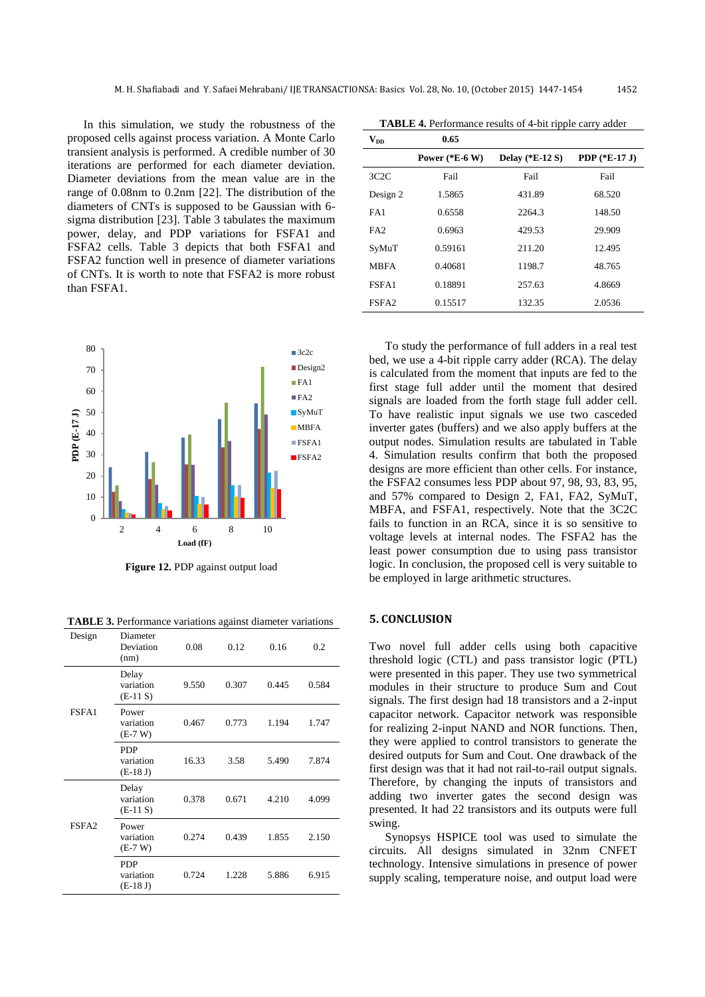In this simulation, we study the robustness of the proposed cells against process variation. A Monte Carlo transient analysis is performed. A credible number of 30 iterations are performed for each diameter deviation. Diameter deviations from the mean value are in the range of 0.08nm to 0.2nm [\[22\]](#page-6-19). The distribution of the diameters of CNTs is supposed to be Gaussian with 6 sigma distribution [\[23\]](#page-6-20). Table 3 tabulates the maximum power, delay, and PDP variations for FSFA1 and FSFA2 cells. Table 3 depicts that both FSFA1 and FSFA2 function well in presence of diameter variations of CNTs. It is worth to note that FSFA2 is more robust than FSFA1.



**Figure 12.** PDP against output load

**TABLE 3.** Performance variations against diameter variations

| Design            | Diameter<br>Deviation<br>(nm)         | 0.08  | 0.12  | 0.16  | 0.2   |
|-------------------|---------------------------------------|-------|-------|-------|-------|
|                   | Delay<br>variation<br>$(E-11 S)$      | 9.550 | 0.307 | 0.445 | 0.584 |
| FSFA1             | Power<br>variation<br>$(E-7 W)$       | 0.467 | 0.773 | 1.194 | 1.747 |
|                   | <b>PDP</b><br>variation<br>$(E-18 J)$ | 16.33 | 3.58  | 5.490 | 7.874 |
|                   | Delay<br>variation<br>$(E-11 S)$      | 0.378 | 0.671 | 4.210 | 4.099 |
| FSFA <sub>2</sub> | Power<br>variation<br>$(E-7 W)$       | 0.274 | 0.439 | 1.855 | 2.150 |
|                   | <b>PDP</b><br>variation<br>$(E-18 J)$ | 0.724 | 1.228 | 5.886 | 6.915 |

**TABLE 4.** Performance results of 4-bit ripple carry adder

| $\mathbf{V}_{\mathbf{D}\mathbf{D}}$ | 0.65             |                                |                        |
|-------------------------------------|------------------|--------------------------------|------------------------|
|                                     | Power $(*E-6 W)$ | <b>Delay</b> (* <b>E-12</b> S) | <b>PDP</b> $(*E-17 J)$ |
| 3C2C                                | Fail             | Fail                           | Fail                   |
| Design 2                            | 1.5865           | 431.89                         | 68.520                 |
| FA1                                 | 0.6558           | 2264.3                         | 148.50                 |
| FA <sub>2</sub>                     | 0.6963           | 429.53                         | 29.909                 |
| SyMuT                               | 0.59161          | 211.20                         | 12.495                 |
| <b>MBFA</b>                         | 0.40681          | 1198.7                         | 48.765                 |
| FSFA1                               | 0.18891          | 257.63                         | 4.8669                 |
| FSFA <sub>2</sub>                   | 0.15517          | 132.35                         | 2.0536                 |

To study the performance of full adders in a real test bed, we use a 4-bit ripple carry adder (RCA). The delay is calculated from the moment that inputs are fed to the first stage full adder until the moment that desired signals are loaded from the forth stage full adder cell. To have realistic input signals we use two casceded inverter gates (buffers) and we also apply buffers at the output nodes. Simulation results are tabulated in Table 4. Simulation results confirm that both the proposed designs are more efficient than other cells. For instance, the FSFA2 consumes less PDP about 97, 98, 93, 83, 95, and 57% compared to Design 2, FA1, FA2, SyMuT, MBFA, and FSFA1, respectively. Note that the 3C2C fails to function in an RCA, since it is so sensitive to voltage levels at internal nodes. The FSFA2 has the least power consumption due to using pass transistor logic. In conclusion, the proposed cell is very suitable to be employed in large arithmetic structures.

#### **5. CONCLUSION**

Two novel full adder cells using both capacitive threshold logic (CTL) and pass transistor logic (PTL) were presented in this paper. They use two symmetrical modules in their structure to produce Sum and Cout signals. The first design had 18 transistors and a 2-input capacitor network. Capacitor network was responsible for realizing 2-input NAND and NOR functions. Then, they were applied to control transistors to generate the desired outputs for Sum and Cout. One drawback of the first design was that it had not rail-to-rail output signals. Therefore, by changing the inputs of transistors and adding two inverter gates the second design was presented. It had 22 transistors and its outputs were full swing.

Synopsys HSPICE tool was used to simulate the circuits. All designs simulated in 32nm CNFET technology. Intensive simulations in presence of power supply scaling, temperature noise, and output load were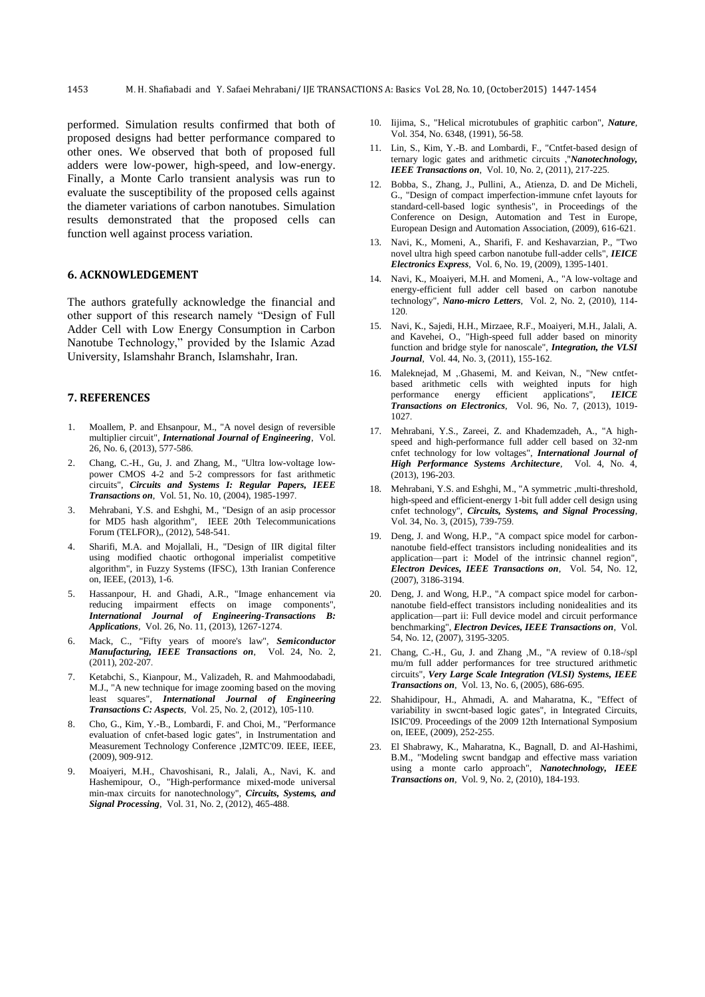performed. Simulation results confirmed that both of proposed designs had better performance compared to other ones. We observed that both of proposed full adders were low-power, high-speed, and low-energy. Finally, a Monte Carlo transient analysis was run to evaluate the susceptibility of the proposed cells against the diameter variations of carbon nanotubes. Simulation results demonstrated that the proposed cells can function well against process variation.

#### **6. ACKNOWLEDGEMENT**

The authors gratefully acknowledge the financial and other support of this research namely "Design of Full Adder Cell with Low Energy Consumption in Carbon Nanotube Technology," provided by the Islamic Azad University, Islamshahr Branch, Islamshahr, Iran.

### **7. REFERENCES**

- <span id="page-6-0"></span>1. Moallem, P. and Ehsanpour, M., "A novel design of reversible multiplier circuit", *International Journal of Engineering*, Vol. 26, No. 6, (2013), 577-586.
- <span id="page-6-1"></span>2. Chang, C.-H., Gu, J. and Zhang, M., "Ultra low-voltage lowpower CMOS 4-2 and 5-2 compressors for fast arithmetic circuits", *Circuits and Systems I: Regular Papers, IEEE Transactions on*, Vol. 51, No. 10, (2004), 1985-1997.
- <span id="page-6-2"></span>3. Mehrabani, Y.S. and Eshghi, M., "Design of an asip processor for MD5 hash algorithm", IEEE 20th Telecommunications Forum (TELFOR),, (2012), 548-541.
- <span id="page-6-3"></span>4. Sharifi, M.A. and Mojallali, H., "Design of IIR digital filter using modified chaotic orthogonal imperialist competitive algorithm", in Fuzzy Systems (IFSC), 13th Iranian Conference on, IEEE, (2013), 1-6.
- 5. Hassanpour, H. and Ghadi, A.R., "Image enhancement via reducing impairment effects on image components", *International Journal of Engineering-Transactions B: Applications*, Vol. 26, No. 11, (2013), 1267-1274.
- 6. Mack, C., "Fifty years of moore's law", *Semiconductor Manufacturing, IEEE Transactions on*, Vol. 24, No. 2, (2011), 202-207.
- <span id="page-6-4"></span>7. Ketabchi, S., Kianpour, M., Valizadeh, R. and Mahmoodabadi, M.J., "A new technique for image zooming based on the moving least squares", *International Journal of Engineering Transactions C: Aspects*, Vol. 25, No. 2, (2012), 105-110.
- <span id="page-6-5"></span>8. Cho, G., Kim, Y.-B., Lombardi, F. and Choi, M., "Performance evaluation of cnfet-based logic gates", in Instrumentation and Measurement Technology Conference ,I2MTC'09. IEEE, IEEE, (2009), 909-912.
- <span id="page-6-6"></span>9. Moaiyeri, M.H., Chavoshisani, R., Jalali, A., Navi, K. and Hashemipour, O., "High-performance mixed-mode universal min-max circuits for nanotechnology", *Circuits, Systems, and Signal Processing*, Vol. 31, No. 2, (2012), 465-488.
- <span id="page-6-7"></span>10. Iijima, S., "Helical microtubules of graphitic carbon", *Nature*, Vol. 354, No. 6348, (1991), 56-58.
- <span id="page-6-8"></span>11. Lin, S., Kim, Y.-B. and Lombardi, F., "Cntfet-based design of ternary logic gates and arithmetic circuits ,"*Nanotechnology, IEEE Transactions on*, Vol. 10, No. 2, (2011), 217-225.
- <span id="page-6-9"></span>12. Bobba, S., Zhang, J., Pullini, A., Atienza, D. and De Micheli, G., "Design of compact imperfection-immune cnfet layouts for standard-cell-based logic synthesis", in Proceedings of the Conference on Design, Automation and Test in Europe, European Design and Automation Association, (2009), 616-621.
- <span id="page-6-10"></span>13. Navi, K., Momeni, A., Sharifi, F. and Keshavarzian, P., "Two novel ultra high speed carbon nanotube full-adder cells", *IEICE Electronics Express*, Vol. 6, No. 19, (2009), 1395-1401.
- <span id="page-6-11"></span>14. Navi, K., Moaiyeri, M.H. and Momeni, A., "A low-voltage and energy-efficient full adder cell based on carbon nanotube technology", *Nano-micro Letters*, Vol. 2, No. 2, (2010), 114- 120.
- <span id="page-6-12"></span>15. Navi, K., Sajedi, H.H., Mirzaee, R.F., Moaiyeri, M.H., Jalali, A. and Kavehei, O., "High-speed full adder based on minority function and bridge style for nanoscale", *Integration, the VLSI Journal*, Vol. 44, No. 3, (2011), 155-162.
- <span id="page-6-13"></span>16. Maleknejad, M ,.Ghasemi, M. and Keivan, N., "New cntfetbased arithmetic cells with weighted inputs for high<br>performance energy efficient applications", IEICE efficient applications", *Transactions on Electronics*, Vol. 96, No. 7, (2013), 1019- 1027
- <span id="page-6-14"></span>17. Mehrabani, Y.S., Zareei, Z. and Khademzadeh, A., "A highspeed and high-performance full adder cell based on 32-nm cnfet technology for low voltages", *International Journal of High Performance Systems Architecture*, Vol. 4, No. 4, (2013), 196-203.
- <span id="page-6-15"></span>18. Mehrabani, Y.S. and Eshghi, M., "A symmetric ,multi-threshold, high-speed and efficient-energy 1-bit full adder cell design using cnfet technology", *Circuits, Systems, and Signal Processing*, Vol. 34, No. 3, (2015), 739-759.
- <span id="page-6-16"></span>19. Deng, J. and Wong, H.P., "A compact spice model for carbonnanotube field-effect transistors including nonidealities and its application—part i: Model of the intrinsic channel region", *Electron Devices, IEEE Transactions on*, Vol. 54, No. 12, (2007), 3186-3194.
- <span id="page-6-17"></span>20. Deng, J. and Wong, H.P., "A compact spice model for carbonnanotube field-effect transistors including nonidealities and its application—part ii: Full device model and circuit performance benchmarking", *Electron Devices, IEEE Transactions on*, Vol. 54, No. 12, (2007), 3195-3205.
- <span id="page-6-18"></span>21. Chang, C.-H., Gu, J. and Zhang ,M., "A review of 0.18-/spl mu/m full adder performances for tree structured arithmetic circuits", *Very Large Scale Integration (VLSI) Systems, IEEE Transactions on*, Vol. 13, No. 6, (2005), 686-695.
- <span id="page-6-19"></span>22. Shahidipour, H., Ahmadi, A. and Maharatna, K., "Effect of variability in swcnt-based logic gates", in Integrated Circuits, ISIC'09. Proceedings of the 2009 12th International Symposium on, IEEE, (2009), 252-255.
- <span id="page-6-20"></span>23. El Shabrawy, K., Maharatna, K., Bagnall, D. and Al-Hashimi, B.M., "Modeling swcnt bandgap and effective mass variation using a monte carlo approach", *Nanotechnology, IEEE Transactions on*, Vol. 9, No. 2, (2010), 184-193.